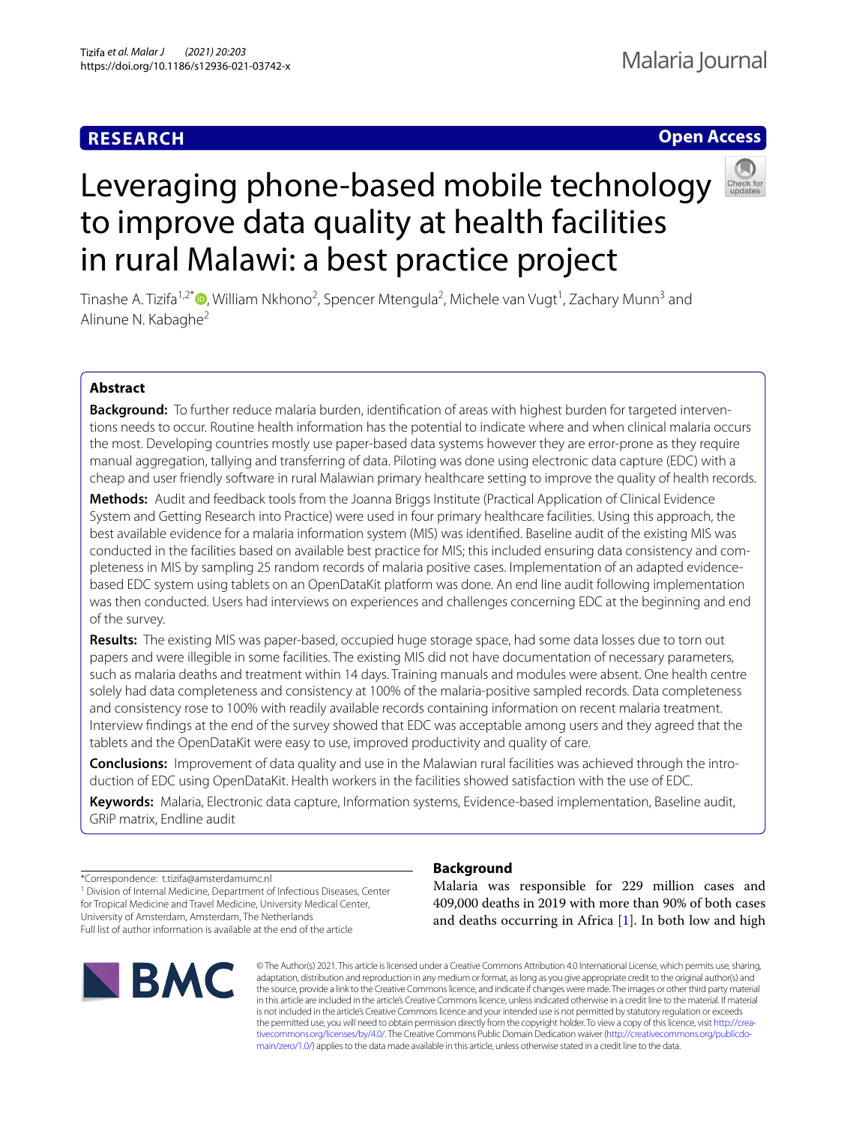# **RESEARCH**

# **Open Access**



# Leveraging phone-based mobile technology to improve data quality at health facilities in rural Malawi: a best practice project

Tinashe A. Tizifa<sup>1,2\*</sup>©[,](http://orcid.org/0000-0001-5040-2807) William Nkhono<sup>2</sup>, Spencer Mtengula<sup>2</sup>, Michele van Vugt<sup>1</sup>, Zachary Munn<sup>3</sup> and Alinune N. Kabaghe<sup>2</sup>

# **Abstract**

**Background:** To further reduce malaria burden, identifcation of areas with highest burden for targeted interventions needs to occur. Routine health information has the potential to indicate where and when clinical malaria occurs the most. Developing countries mostly use paper-based data systems however they are error-prone as they require manual aggregation, tallying and transferring of data. Piloting was done using electronic data capture (EDC) with a cheap and user friendly software in rural Malawian primary healthcare setting to improve the quality of health records.

**Methods:** Audit and feedback tools from the Joanna Briggs Institute (Practical Application of Clinical Evidence System and Getting Research into Practice) were used in four primary healthcare facilities. Using this approach, the best available evidence for a malaria information system (MIS) was identifed. Baseline audit of the existing MIS was conducted in the facilities based on available best practice for MIS; this included ensuring data consistency and completeness in MIS by sampling 25 random records of malaria positive cases. Implementation of an adapted evidencebased EDC system using tablets on an OpenDataKit platform was done. An end line audit following implementation was then conducted. Users had interviews on experiences and challenges concerning EDC at the beginning and end of the survey.

**Results:** The existing MIS was paper-based, occupied huge storage space, had some data losses due to torn out papers and were illegible in some facilities. The existing MIS did not have documentation of necessary parameters, such as malaria deaths and treatment within 14 days. Training manuals and modules were absent. One health centre solely had data completeness and consistency at 100% of the malaria-positive sampled records. Data completeness and consistency rose to 100% with readily available records containing information on recent malaria treatment. Interview fndings at the end of the survey showed that EDC was acceptable among users and they agreed that the tablets and the OpenDataKit were easy to use, improved productivity and quality of care.

**Conclusions:** Improvement of data quality and use in the Malawian rural facilities was achieved through the introduction of EDC using OpenDataKit. Health workers in the facilities showed satisfaction with the use of EDC.

**Keywords:** Malaria, Electronic data capture, Information systems, Evidence-based implementation, Baseline audit, GRiP matrix, Endline audit

\*Correspondence: t.tizifa@amsterdamumc.nl <sup>1</sup> Division of Internal Medicine, Department of Infectious Diseases, Center

for Tropical Medicine and Travel Medicine, University Medical Center, University of Amsterdam, Amsterdam, The Netherlands Full list of author information is available at the end of the article



# **Background**

Malaria was responsible for 229 million cases and 409,000 deaths in 2019 with more than 90% of both cases and deaths occurring in Africa [[1\]](#page-10-0). In both low and high

© The Author(s) 2021. This article is licensed under a Creative Commons Attribution 4.0 International License, which permits use, sharing, adaptation, distribution and reproduction in any medium or format, as long as you give appropriate credit to the original author(s) and the source, provide a link to the Creative Commons licence, and indicate if changes were made. The images or other third party material in this article are included in the article's Creative Commons licence, unless indicated otherwise in a credit line to the material. If material is not included in the article's Creative Commons licence and your intended use is not permitted by statutory regulation or exceeds the permitted use, you will need to obtain permission directly from the copyright holder. To view a copy of this licence, visit [http://crea](http://creativecommons.org/licenses/by/4.0/)[tivecommons.org/licenses/by/4.0/.](http://creativecommons.org/licenses/by/4.0/) The Creative Commons Public Domain Dedication waiver ([http://creativecommons.org/publicdo](http://creativecommons.org/publicdomain/zero/1.0/)[main/zero/1.0/\)](http://creativecommons.org/publicdomain/zero/1.0/) applies to the data made available in this article, unless otherwise stated in a credit line to the data.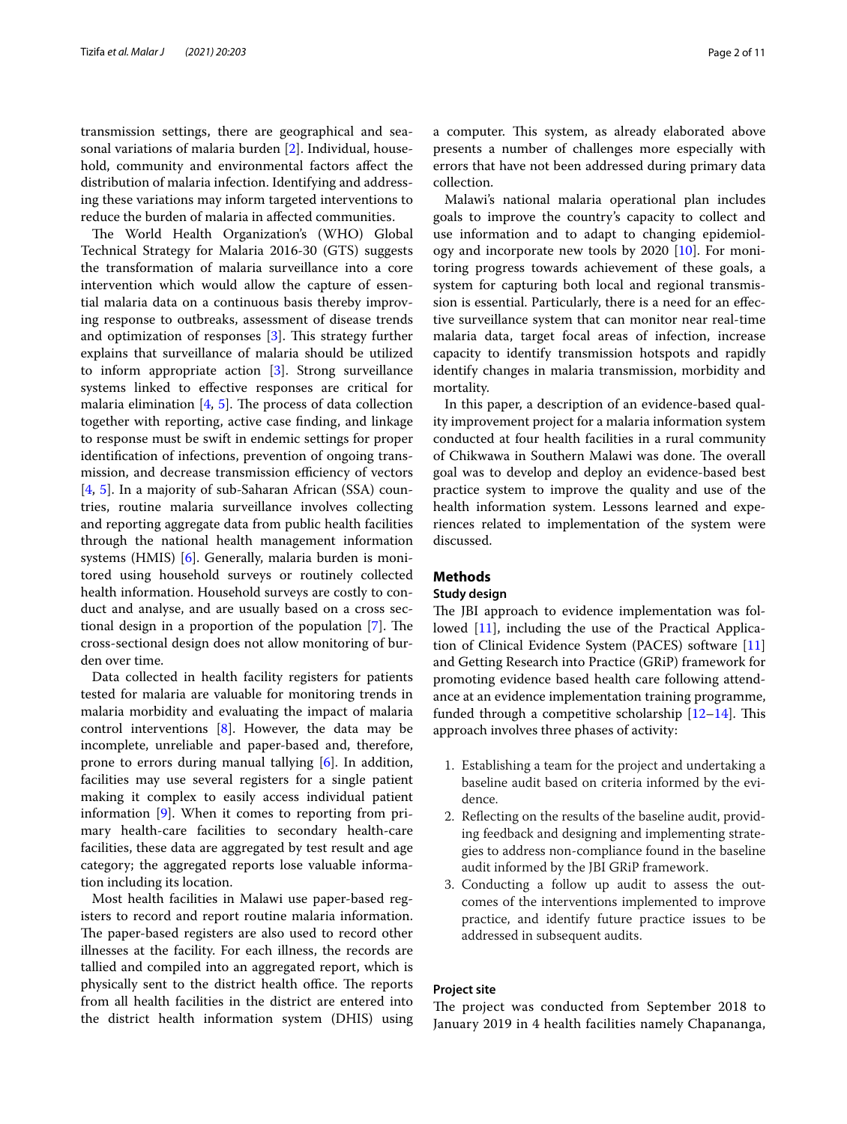transmission settings, there are geographical and seasonal variations of malaria burden [\[2](#page-10-1)]. Individual, household, community and environmental factors afect the distribution of malaria infection. Identifying and addressing these variations may inform targeted interventions to reduce the burden of malaria in afected communities.

The World Health Organization's (WHO) Global Technical Strategy for Malaria 2016-30 (GTS) suggests the transformation of malaria surveillance into a core intervention which would allow the capture of essential malaria data on a continuous basis thereby improving response to outbreaks, assessment of disease trends and optimization of responses  $[3]$  $[3]$  $[3]$ . This strategy further explains that surveillance of malaria should be utilized to inform appropriate action [[3\]](#page-10-2). Strong surveillance systems linked to efective responses are critical for malaria elimination  $[4, 5]$  $[4, 5]$  $[4, 5]$  $[4, 5]$ . The process of data collection together with reporting, active case fnding, and linkage to response must be swift in endemic settings for proper identifcation of infections, prevention of ongoing transmission, and decrease transmission efficiency of vectors [[4,](#page-10-3) [5](#page-10-4)]. In a majority of sub-Saharan African (SSA) countries, routine malaria surveillance involves collecting and reporting aggregate data from public health facilities through the national health management information systems (HMIS) [\[6](#page-10-5)]. Generally, malaria burden is monitored using household surveys or routinely collected health information. Household surveys are costly to conduct and analyse, and are usually based on a cross sectional design in a proportion of the population  $[7]$  $[7]$ . The cross-sectional design does not allow monitoring of burden over time.

Data collected in health facility registers for patients tested for malaria are valuable for monitoring trends in malaria morbidity and evaluating the impact of malaria control interventions [\[8](#page-10-7)]. However, the data may be incomplete, unreliable and paper-based and, therefore, prone to errors during manual tallying [[6](#page-10-5)]. In addition, facilities may use several registers for a single patient making it complex to easily access individual patient information [[9\]](#page-10-8). When it comes to reporting from primary health-care facilities to secondary health-care facilities, these data are aggregated by test result and age category; the aggregated reports lose valuable information including its location.

Most health facilities in Malawi use paper-based registers to record and report routine malaria information. The paper-based registers are also used to record other illnesses at the facility. For each illness, the records are tallied and compiled into an aggregated report, which is physically sent to the district health office. The reports from all health facilities in the district are entered into the district health information system (DHIS) using a computer. This system, as already elaborated above presents a number of challenges more especially with errors that have not been addressed during primary data collection.

Malawi's national malaria operational plan includes goals to improve the country's capacity to collect and use information and to adapt to changing epidemiology and incorporate new tools by  $2020$  [\[10](#page-10-9)]. For monitoring progress towards achievement of these goals, a system for capturing both local and regional transmission is essential. Particularly, there is a need for an efective surveillance system that can monitor near real-time malaria data, target focal areas of infection, increase capacity to identify transmission hotspots and rapidly identify changes in malaria transmission, morbidity and mortality.

In this paper, a description of an evidence-based quality improvement project for a malaria information system conducted at four health facilities in a rural community of Chikwawa in Southern Malawi was done. The overall goal was to develop and deploy an evidence-based best practice system to improve the quality and use of the health information system. Lessons learned and experiences related to implementation of the system were discussed.

## **Methods**

# **Study design**

The JBI approach to evidence implementation was followed [[11\]](#page-10-10), including the use of the Practical Application of Clinical Evidence System (PACES) software [[11](#page-10-10)] and Getting Research into Practice (GRiP) framework for promoting evidence based health care following attendance at an evidence implementation training programme, funded through a competitive scholarship  $[12-14]$  $[12-14]$  $[12-14]$ . This approach involves three phases of activity:

- 1. Establishing a team for the project and undertaking a baseline audit based on criteria informed by the evidence.
- 2. Refecting on the results of the baseline audit, providing feedback and designing and implementing strategies to address non-compliance found in the baseline audit informed by the JBI GRiP framework.
- 3. Conducting a follow up audit to assess the outcomes of the interventions implemented to improve practice, and identify future practice issues to be addressed in subsequent audits.

# **Project site**

The project was conducted from September 2018 to January 2019 in 4 health facilities namely Chapananga,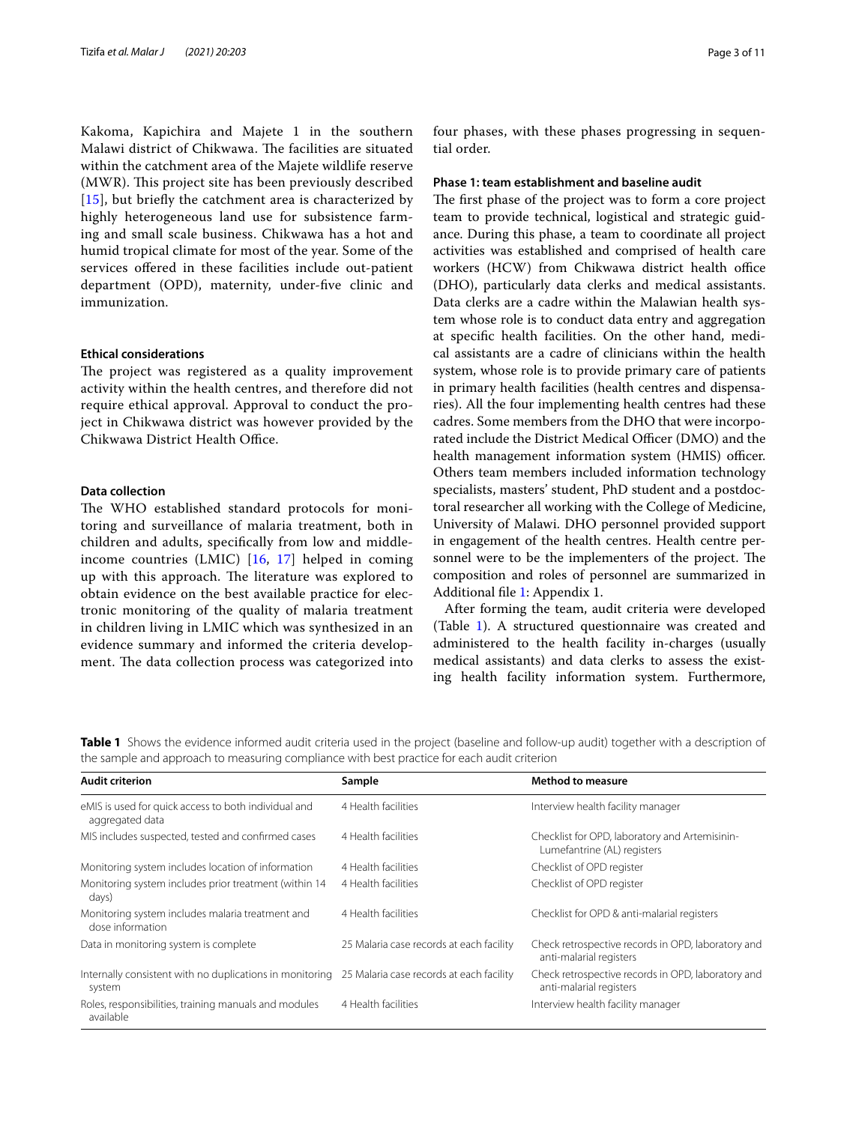Kakoma, Kapichira and Majete 1 in the southern Malawi district of Chikwawa. The facilities are situated within the catchment area of the Majete wildlife reserve (MWR). This project site has been previously described [[15](#page-10-13)], but briefly the catchment area is characterized by highly heterogeneous land use for subsistence farming and small scale business. Chikwawa has a hot and humid tropical climate for most of the year. Some of the services ofered in these facilities include out-patient department (OPD), maternity, under-fve clinic and immunization.

#### **Ethical considerations**

The project was registered as a quality improvement activity within the health centres, and therefore did not require ethical approval. Approval to conduct the project in Chikwawa district was however provided by the Chikwawa District Health Office.

# **Data collection**

The WHO established standard protocols for monitoring and surveillance of malaria treatment, both in children and adults, specifcally from low and middleincome countries (LMIC) [\[16](#page-10-14), [17\]](#page-10-15) helped in coming up with this approach. The literature was explored to obtain evidence on the best available practice for electronic monitoring of the quality of malaria treatment in children living in LMIC which was synthesized in an evidence summary and informed the criteria development. The data collection process was categorized into four phases, with these phases progressing in sequential order.

#### **Phase 1: team establishment and baseline audit**

The first phase of the project was to form a core project team to provide technical, logistical and strategic guidance. During this phase, a team to coordinate all project activities was established and comprised of health care workers (HCW) from Chikwawa district health office (DHO), particularly data clerks and medical assistants. Data clerks are a cadre within the Malawian health system whose role is to conduct data entry and aggregation at specifc health facilities. On the other hand, medical assistants are a cadre of clinicians within the health system, whose role is to provide primary care of patients in primary health facilities (health centres and dispensaries). All the four implementing health centres had these cadres. Some members from the DHO that were incorporated include the District Medical Officer (DMO) and the health management information system (HMIS) officer. Others team members included information technology specialists, masters' student, PhD student and a postdoctoral researcher all working with the College of Medicine, University of Malawi. DHO personnel provided support in engagement of the health centres. Health centre personnel were to be the implementers of the project. The composition and roles of personnel are summarized in Additional fle [1](#page-9-0): Appendix 1.

After forming the team, audit criteria were developed (Table [1\)](#page-2-0). A structured questionnaire was created and administered to the health facility in-charges (usually medical assistants) and data clerks to assess the existing health facility information system. Furthermore,

<span id="page-2-0"></span>**Table 1** Shows the evidence informed audit criteria used in the project (baseline and follow-up audit) together with a description of the sample and approach to measuring compliance with best practice for each audit criterion

| <b>Audit criterion</b>                                                                                      | Sample                                   | <b>Method to measure</b>                                                      |  |  |  |  |
|-------------------------------------------------------------------------------------------------------------|------------------------------------------|-------------------------------------------------------------------------------|--|--|--|--|
| eMIS is used for quick access to both individual and<br>aggregated data                                     | 4 Health facilities                      | Interview health facility manager                                             |  |  |  |  |
| MIS includes suspected, tested and confirmed cases                                                          | 4 Health facilities                      | Checklist for OPD, laboratory and Artemisinin-<br>Lumefantrine (AL) registers |  |  |  |  |
| Monitoring system includes location of information                                                          | 4 Health facilities                      | Checklist of OPD register                                                     |  |  |  |  |
| Monitoring system includes prior treatment (within 14<br>days)                                              | 4 Health facilities                      | Checklist of OPD register                                                     |  |  |  |  |
| Monitoring system includes malaria treatment and<br>dose information                                        | 4 Health facilities                      | Checklist for OPD & anti-malarial registers                                   |  |  |  |  |
| Data in monitoring system is complete                                                                       | 25 Malaria case records at each facility | Check retrospective records in OPD, laboratory and<br>anti-malarial registers |  |  |  |  |
| Internally consistent with no duplications in monitoring 25 Malaria case records at each facility<br>system |                                          | Check retrospective records in OPD, laboratory and<br>anti-malarial registers |  |  |  |  |
| Roles, responsibilities, training manuals and modules<br>available                                          | 4 Health facilities                      | Interview health facility manager                                             |  |  |  |  |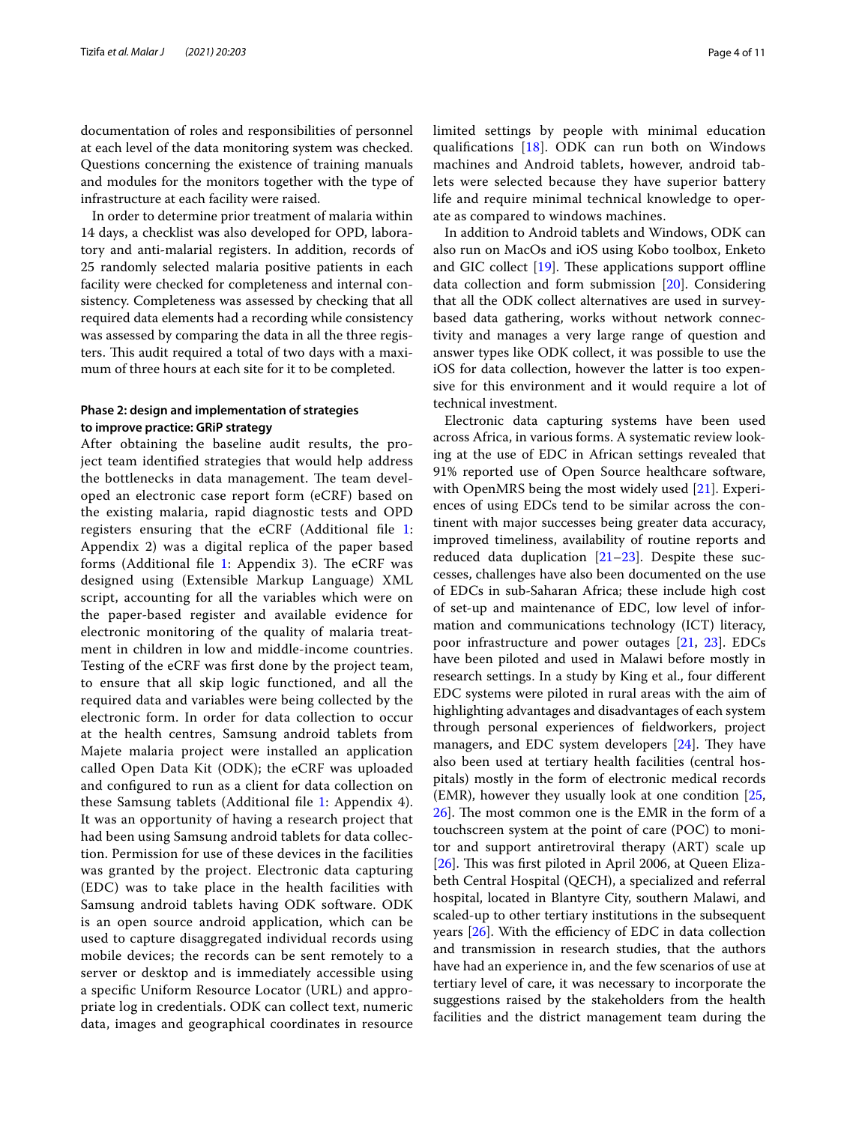documentation of roles and responsibilities of personnel at each level of the data monitoring system was checked. Questions concerning the existence of training manuals and modules for the monitors together with the type of infrastructure at each facility were raised.

In order to determine prior treatment of malaria within 14 days, a checklist was also developed for OPD, laboratory and anti-malarial registers. In addition, records of 25 randomly selected malaria positive patients in each facility were checked for completeness and internal consistency. Completeness was assessed by checking that all required data elements had a recording while consistency was assessed by comparing the data in all the three registers. This audit required a total of two days with a maximum of three hours at each site for it to be completed.

# **Phase 2: design and implementation of strategies to improve practice: GRiP strategy**

After obtaining the baseline audit results, the project team identifed strategies that would help address the bottlenecks in data management. The team developed an electronic case report form (eCRF) based on the existing malaria, rapid diagnostic tests and OPD registers ensuring that the eCRF (Additional fle [1](#page-9-0): Appendix 2) was a digital replica of the paper based forms (Additional file  $1$ : Appendix 3). The eCRF was designed using (Extensible Markup Language) XML script, accounting for all the variables which were on the paper-based register and available evidence for electronic monitoring of the quality of malaria treatment in children in low and middle-income countries. Testing of the eCRF was frst done by the project team, to ensure that all skip logic functioned, and all the required data and variables were being collected by the electronic form. In order for data collection to occur at the health centres, Samsung android tablets from Majete malaria project were installed an application called Open Data Kit (ODK); the eCRF was uploaded and confgured to run as a client for data collection on these Samsung tablets (Additional fle [1](#page-9-0): Appendix 4). It was an opportunity of having a research project that had been using Samsung android tablets for data collection. Permission for use of these devices in the facilities was granted by the project. Electronic data capturing (EDC) was to take place in the health facilities with Samsung android tablets having ODK software. ODK is an open source android application, which can be used to capture disaggregated individual records using mobile devices; the records can be sent remotely to a server or desktop and is immediately accessible using a specifc Uniform Resource Locator (URL) and appropriate log in credentials. ODK can collect text, numeric data, images and geographical coordinates in resource limited settings by people with minimal education qualifcations [[18\]](#page-10-16). ODK can run both on Windows machines and Android tablets, however, android tablets were selected because they have superior battery life and require minimal technical knowledge to operate as compared to windows machines.

In addition to Android tablets and Windows, ODK can also run on MacOs and iOS using Kobo toolbox, Enketo and GIC collect  $[19]$ . These applications support offline data collection and form submission [[20\]](#page-10-18). Considering that all the ODK collect alternatives are used in surveybased data gathering, works without network connectivity and manages a very large range of question and answer types like ODK collect, it was possible to use the iOS for data collection, however the latter is too expensive for this environment and it would require a lot of technical investment.

Electronic data capturing systems have been used across Africa, in various forms. A systematic review looking at the use of EDC in African settings revealed that 91% reported use of Open Source healthcare software, with OpenMRS being the most widely used [\[21](#page-10-19)]. Experiences of using EDCs tend to be similar across the continent with major successes being greater data accuracy, improved timeliness, availability of routine reports and reduced data duplication [\[21](#page-10-19)[–23](#page-10-20)]. Despite these successes, challenges have also been documented on the use of EDCs in sub-Saharan Africa; these include high cost of set-up and maintenance of EDC, low level of information and communications technology (ICT) literacy, poor infrastructure and power outages [[21,](#page-10-19) [23](#page-10-20)]. EDCs have been piloted and used in Malawi before mostly in research settings. In a study by King et al., four diferent EDC systems were piloted in rural areas with the aim of highlighting advantages and disadvantages of each system through personal experiences of feldworkers, project managers, and EDC system developers  $[24]$  $[24]$  $[24]$ . They have also been used at tertiary health facilities (central hospitals) mostly in the form of electronic medical records (EMR), however they usually look at one condition [[25](#page-10-22),  $26$ . The most common one is the EMR in the form of a touchscreen system at the point of care (POC) to monitor and support antiretroviral therapy (ART) scale up [ $26$ ]. This was first piloted in April 2006, at Queen Elizabeth Central Hospital (QECH), a specialized and referral hospital, located in Blantyre City, southern Malawi, and scaled-up to other tertiary institutions in the subsequent years  $[26]$ . With the efficiency of EDC in data collection and transmission in research studies, that the authors have had an experience in, and the few scenarios of use at tertiary level of care, it was necessary to incorporate the suggestions raised by the stakeholders from the health facilities and the district management team during the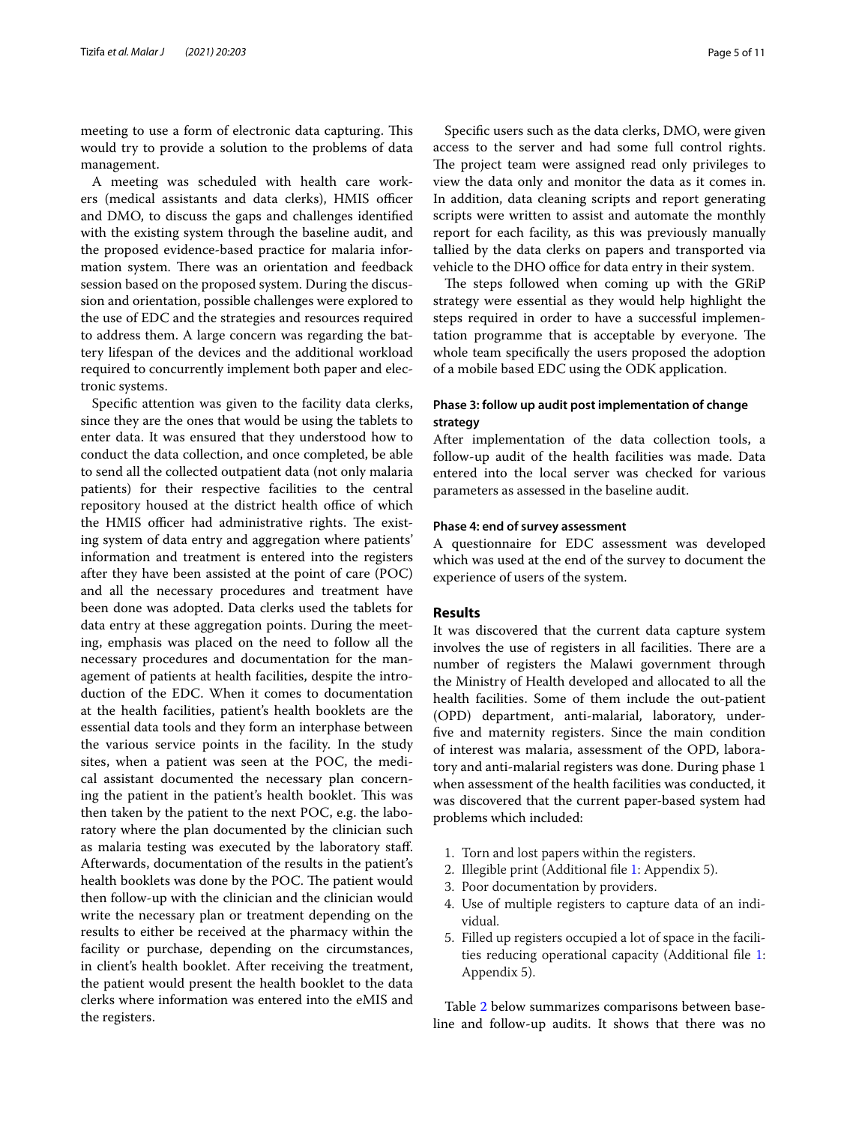meeting to use a form of electronic data capturing. This would try to provide a solution to the problems of data management.

A meeting was scheduled with health care workers (medical assistants and data clerks), HMIS officer and DMO, to discuss the gaps and challenges identifed with the existing system through the baseline audit, and the proposed evidence-based practice for malaria information system. There was an orientation and feedback session based on the proposed system. During the discussion and orientation, possible challenges were explored to the use of EDC and the strategies and resources required to address them. A large concern was regarding the battery lifespan of the devices and the additional workload required to concurrently implement both paper and electronic systems.

Specifc attention was given to the facility data clerks, since they are the ones that would be using the tablets to enter data. It was ensured that they understood how to conduct the data collection, and once completed, be able to send all the collected outpatient data (not only malaria patients) for their respective facilities to the central repository housed at the district health office of which the HMIS officer had administrative rights. The existing system of data entry and aggregation where patients' information and treatment is entered into the registers after they have been assisted at the point of care (POC) and all the necessary procedures and treatment have been done was adopted. Data clerks used the tablets for data entry at these aggregation points. During the meeting, emphasis was placed on the need to follow all the necessary procedures and documentation for the management of patients at health facilities, despite the introduction of the EDC. When it comes to documentation at the health facilities, patient's health booklets are the essential data tools and they form an interphase between the various service points in the facility. In the study sites, when a patient was seen at the POC, the medical assistant documented the necessary plan concerning the patient in the patient's health booklet. This was then taken by the patient to the next POC, e.g. the laboratory where the plan documented by the clinician such as malaria testing was executed by the laboratory staf. Afterwards, documentation of the results in the patient's health booklets was done by the POC. The patient would then follow-up with the clinician and the clinician would write the necessary plan or treatment depending on the results to either be received at the pharmacy within the facility or purchase, depending on the circumstances, in client's health booklet. After receiving the treatment, the patient would present the health booklet to the data clerks where information was entered into the eMIS and the registers.

Specifc users such as the data clerks, DMO, were given access to the server and had some full control rights. The project team were assigned read only privileges to view the data only and monitor the data as it comes in. In addition, data cleaning scripts and report generating scripts were written to assist and automate the monthly report for each facility, as this was previously manually tallied by the data clerks on papers and transported via vehicle to the DHO office for data entry in their system.

The steps followed when coming up with the GRiP strategy were essential as they would help highlight the steps required in order to have a successful implementation programme that is acceptable by everyone. The whole team specifcally the users proposed the adoption of a mobile based EDC using the ODK application.

# **Phase 3: follow up audit post implementation of change strategy**

After implementation of the data collection tools, a follow-up audit of the health facilities was made. Data entered into the local server was checked for various parameters as assessed in the baseline audit.

### **Phase 4: end of survey assessment**

A questionnaire for EDC assessment was developed which was used at the end of the survey to document the experience of users of the system.

## **Results**

It was discovered that the current data capture system involves the use of registers in all facilities. There are a number of registers the Malawi government through the Ministry of Health developed and allocated to all the health facilities. Some of them include the out-patient (OPD) department, anti-malarial, laboratory, underfve and maternity registers. Since the main condition of interest was malaria, assessment of the OPD, laboratory and anti-malarial registers was done. During phase 1 when assessment of the health facilities was conducted, it was discovered that the current paper-based system had problems which included:

- 1. Torn and lost papers within the registers.
- 2. Illegible print (Additional fle [1](#page-9-0): Appendix 5).
- 3. Poor documentation by providers.
- 4. Use of multiple registers to capture data of an individual.
- 5. Filled up registers occupied a lot of space in the facilities reducing operational capacity (Additional fle [1](#page-9-0): Appendix 5).

Table [2](#page-5-0) below summarizes comparisons between baseline and follow-up audits. It shows that there was no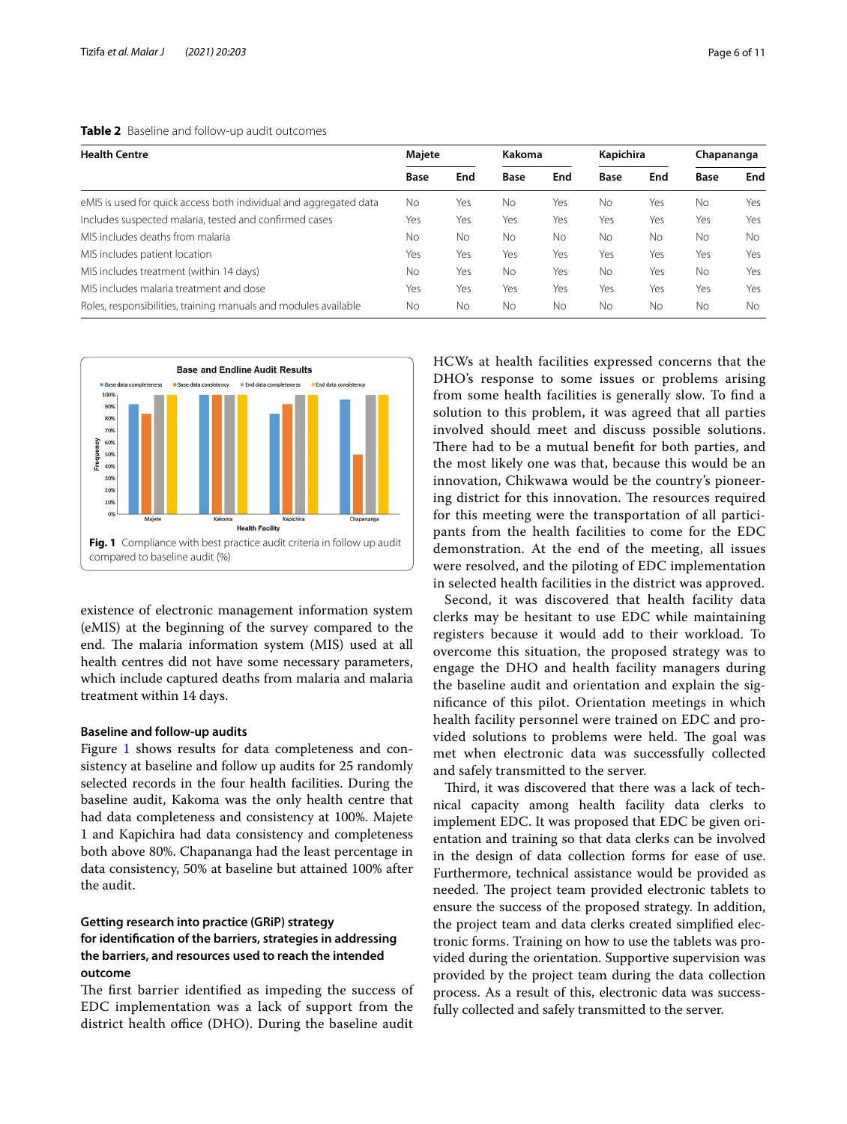<span id="page-5-0"></span>

| <b>Health Centre</b>                                              | Majete      |     | Kakoma      |     | Kapichira |           | Chapananga  |           |
|-------------------------------------------------------------------|-------------|-----|-------------|-----|-----------|-----------|-------------|-----------|
|                                                                   | <b>Base</b> | End | <b>Base</b> | End | Base      | End       | <b>Base</b> | End       |
| eMIS is used for quick access both individual and aggregated data | No          | Yes | No          | Yes | No        | Yes       | <b>No</b>   | Yes       |
| Includes suspected malaria, tested and confirmed cases            | Yes         | Yes | Yes         | Yes | Yes       | Yes       | Yes         | Yes       |
| MIS includes deaths from malaria                                  | No          | No  | No          | No. | No.       | No        | No          | <b>No</b> |
| MIS includes patient location                                     | Yes         | Yes | Yes         | Yes | Yes       | Yes       | Yes         | Yes       |
| MIS includes treatment (within 14 days)                           | No          | Yes | No          | Yes | No.       | Yes       | No          | Yes       |
| MIS includes malaria treatment and dose                           | Yes         | Yes | Yes         | Yes | Yes       | Yes       | Yes         | Yes       |
| Roles, responsibilities, training manuals and modules available   | No.         | No  | No          | No  | No.       | <b>No</b> | No          | <b>No</b> |



<span id="page-5-1"></span>existence of electronic management information system (eMIS) at the beginning of the survey compared to the end. The malaria information system (MIS) used at all health centres did not have some necessary parameters, which include captured deaths from malaria and malaria treatment within 14 days.

#### **Baseline and follow‑up audits**

Figure [1](#page-5-1) shows results for data completeness and consistency at baseline and follow up audits for 25 randomly selected records in the four health facilities. During the baseline audit, Kakoma was the only health centre that had data completeness and consistency at 100%. Majete 1 and Kapichira had data consistency and completeness both above 80%. Chapananga had the least percentage in data consistency, 50% at baseline but attained 100% after the audit.

# **Getting research into practice (GRiP) strategy for identifcation of the barriers, strategies in addressing the barriers, and resources used to reach the intended outcome**

The first barrier identified as impeding the success of EDC implementation was a lack of support from the district health office (DHO). During the baseline audit

HCWs at health facilities expressed concerns that the DHO's response to some issues or problems arising from some health facilities is generally slow. To fnd a solution to this problem, it was agreed that all parties involved should meet and discuss possible solutions. There had to be a mutual benefit for both parties, and the most likely one was that, because this would be an innovation, Chikwawa would be the country's pioneering district for this innovation. The resources required for this meeting were the transportation of all participants from the health facilities to come for the EDC demonstration. At the end of the meeting, all issues were resolved, and the piloting of EDC implementation in selected health facilities in the district was approved.

Second, it was discovered that health facility data clerks may be hesitant to use EDC while maintaining registers because it would add to their workload. To overcome this situation, the proposed strategy was to engage the DHO and health facility managers during the baseline audit and orientation and explain the signifcance of this pilot. Orientation meetings in which health facility personnel were trained on EDC and provided solutions to problems were held. The goal was met when electronic data was successfully collected and safely transmitted to the server.

Third, it was discovered that there was a lack of technical capacity among health facility data clerks to implement EDC. It was proposed that EDC be given orientation and training so that data clerks can be involved in the design of data collection forms for ease of use. Furthermore, technical assistance would be provided as needed. The project team provided electronic tablets to ensure the success of the proposed strategy. In addition, the project team and data clerks created simplifed electronic forms. Training on how to use the tablets was provided during the orientation. Supportive supervision was provided by the project team during the data collection process. As a result of this, electronic data was successfully collected and safely transmitted to the server.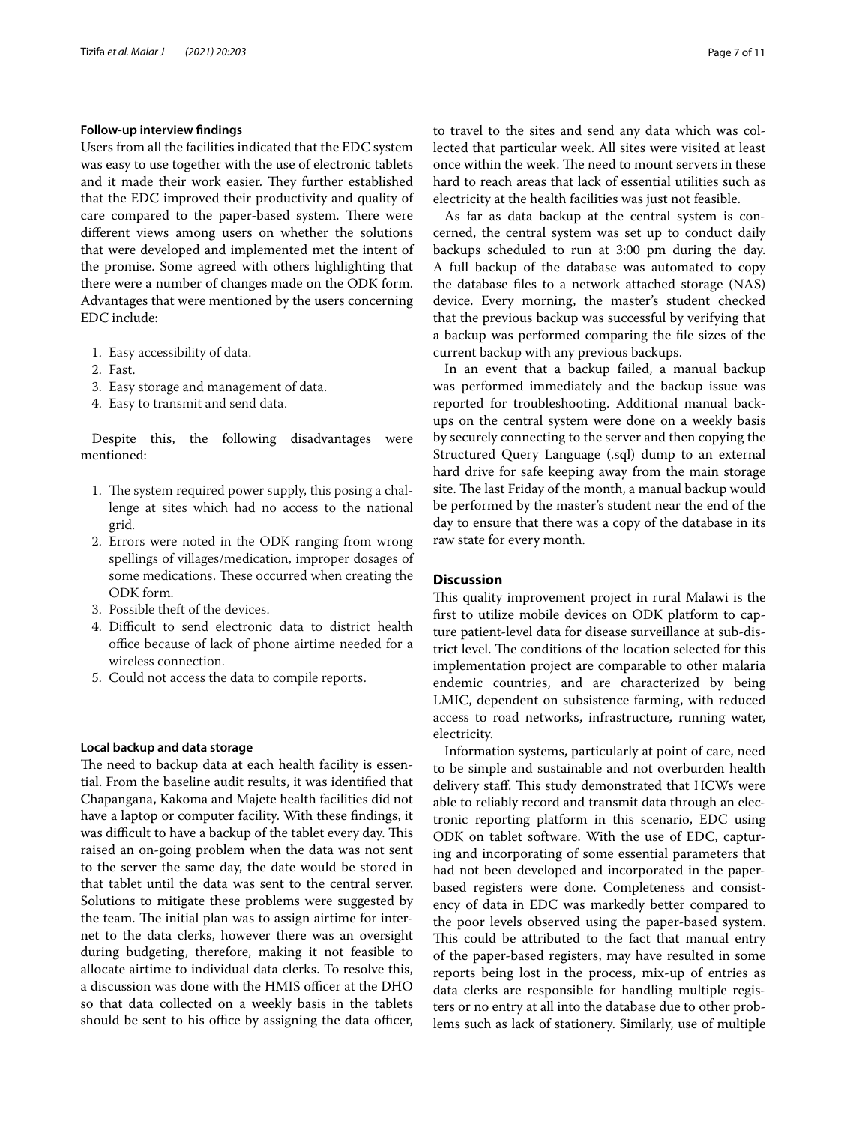#### **Follow‑up interview fndings**

Users from all the facilities indicated that the EDC system was easy to use together with the use of electronic tablets and it made their work easier. They further established that the EDC improved their productivity and quality of care compared to the paper-based system. There were diferent views among users on whether the solutions that were developed and implemented met the intent of the promise. Some agreed with others highlighting that there were a number of changes made on the ODK form. Advantages that were mentioned by the users concerning EDC include:

- 1. Easy accessibility of data.
- 2. Fast.
- 3. Easy storage and management of data.
- 4. Easy to transmit and send data.

Despite this, the following disadvantages were mentioned:

- 1. The system required power supply, this posing a challenge at sites which had no access to the national grid.
- 2. Errors were noted in the ODK ranging from wrong spellings of villages/medication, improper dosages of some medications. These occurred when creating the ODK form.
- 3. Possible theft of the devices.
- 4. Difficult to send electronic data to district health office because of lack of phone airtime needed for a wireless connection.
- 5. Could not access the data to compile reports.

#### **Local backup and data storage**

The need to backup data at each health facility is essential. From the baseline audit results, it was identifed that Chapangana, Kakoma and Majete health facilities did not have a laptop or computer facility. With these fndings, it was difficult to have a backup of the tablet every day. This raised an on-going problem when the data was not sent to the server the same day, the date would be stored in that tablet until the data was sent to the central server. Solutions to mitigate these problems were suggested by the team. The initial plan was to assign airtime for internet to the data clerks, however there was an oversight during budgeting, therefore, making it not feasible to allocate airtime to individual data clerks. To resolve this, a discussion was done with the HMIS officer at the DHO so that data collected on a weekly basis in the tablets should be sent to his office by assigning the data officer, to travel to the sites and send any data which was collected that particular week. All sites were visited at least once within the week. The need to mount servers in these hard to reach areas that lack of essential utilities such as electricity at the health facilities was just not feasible.

As far as data backup at the central system is concerned, the central system was set up to conduct daily backups scheduled to run at 3:00 pm during the day. A full backup of the database was automated to copy the database fles to a network attached storage (NAS) device. Every morning, the master's student checked that the previous backup was successful by verifying that a backup was performed comparing the fle sizes of the current backup with any previous backups.

In an event that a backup failed, a manual backup was performed immediately and the backup issue was reported for troubleshooting. Additional manual backups on the central system were done on a weekly basis by securely connecting to the server and then copying the Structured Query Language (.sql) dump to an external hard drive for safe keeping away from the main storage site. The last Friday of the month, a manual backup would be performed by the master's student near the end of the day to ensure that there was a copy of the database in its raw state for every month.

# **Discussion**

This quality improvement project in rural Malawi is the frst to utilize mobile devices on ODK platform to capture patient-level data for disease surveillance at sub-district level. The conditions of the location selected for this implementation project are comparable to other malaria endemic countries, and are characterized by being LMIC, dependent on subsistence farming, with reduced access to road networks, infrastructure, running water, electricity.

Information systems, particularly at point of care, need to be simple and sustainable and not overburden health delivery staff. This study demonstrated that HCWs were able to reliably record and transmit data through an electronic reporting platform in this scenario, EDC using ODK on tablet software. With the use of EDC, capturing and incorporating of some essential parameters that had not been developed and incorporated in the paperbased registers were done. Completeness and consistency of data in EDC was markedly better compared to the poor levels observed using the paper-based system. This could be attributed to the fact that manual entry of the paper-based registers, may have resulted in some reports being lost in the process, mix-up of entries as data clerks are responsible for handling multiple registers or no entry at all into the database due to other problems such as lack of stationery. Similarly, use of multiple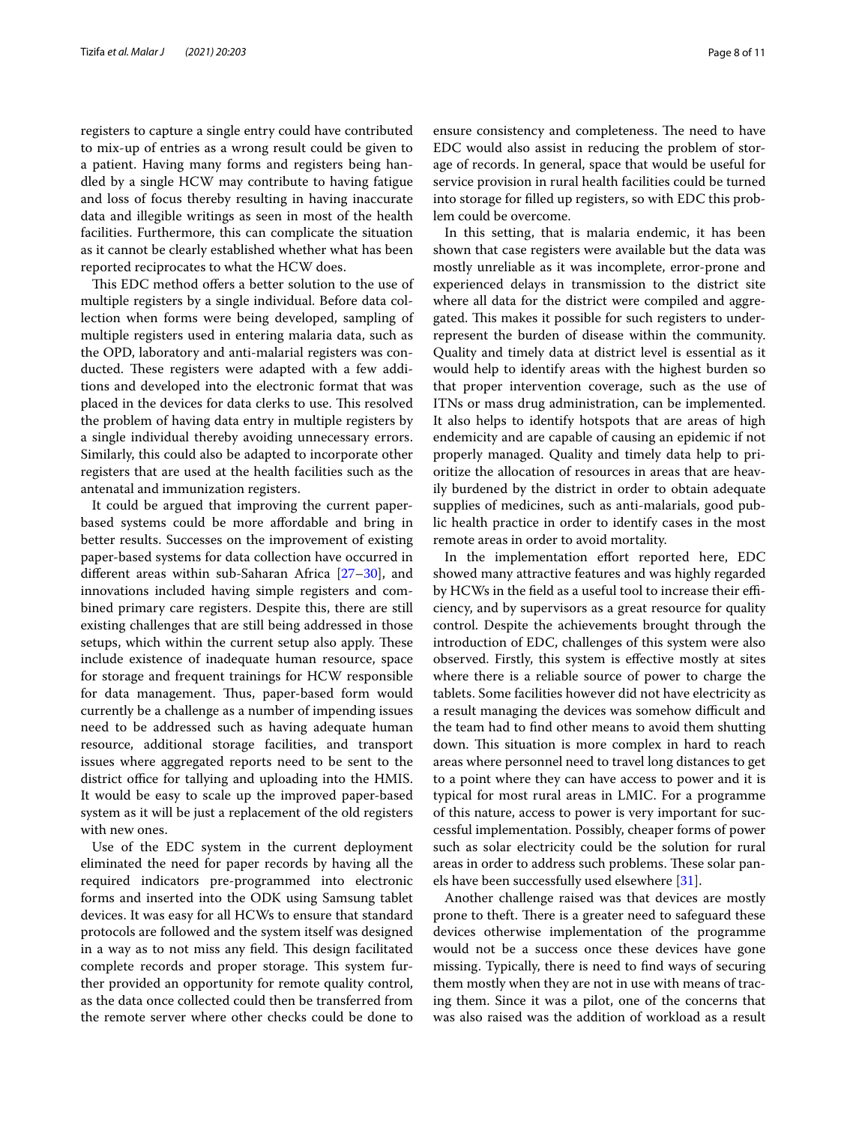registers to capture a single entry could have contributed to mix-up of entries as a wrong result could be given to a patient. Having many forms and registers being handled by a single HCW may contribute to having fatigue and loss of focus thereby resulting in having inaccurate data and illegible writings as seen in most of the health facilities. Furthermore, this can complicate the situation as it cannot be clearly established whether what has been reported reciprocates to what the HCW does.

This EDC method offers a better solution to the use of multiple registers by a single individual. Before data collection when forms were being developed, sampling of multiple registers used in entering malaria data, such as the OPD, laboratory and anti-malarial registers was conducted. These registers were adapted with a few additions and developed into the electronic format that was placed in the devices for data clerks to use. This resolved the problem of having data entry in multiple registers by a single individual thereby avoiding unnecessary errors. Similarly, this could also be adapted to incorporate other registers that are used at the health facilities such as the antenatal and immunization registers.

It could be argued that improving the current paperbased systems could be more afordable and bring in better results. Successes on the improvement of existing paper-based systems for data collection have occurred in diferent areas within sub-Saharan Africa [[27–](#page-10-24)[30\]](#page-10-25), and innovations included having simple registers and combined primary care registers. Despite this, there are still existing challenges that are still being addressed in those setups, which within the current setup also apply. These include existence of inadequate human resource, space for storage and frequent trainings for HCW responsible for data management. Thus, paper-based form would currently be a challenge as a number of impending issues need to be addressed such as having adequate human resource, additional storage facilities, and transport issues where aggregated reports need to be sent to the district office for tallying and uploading into the HMIS. It would be easy to scale up the improved paper-based system as it will be just a replacement of the old registers with new ones.

Use of the EDC system in the current deployment eliminated the need for paper records by having all the required indicators pre-programmed into electronic forms and inserted into the ODK using Samsung tablet devices. It was easy for all HCWs to ensure that standard protocols are followed and the system itself was designed in a way as to not miss any field. This design facilitated complete records and proper storage. This system further provided an opportunity for remote quality control, as the data once collected could then be transferred from the remote server where other checks could be done to ensure consistency and completeness. The need to have EDC would also assist in reducing the problem of storage of records. In general, space that would be useful for service provision in rural health facilities could be turned into storage for flled up registers, so with EDC this problem could be overcome.

In this setting, that is malaria endemic, it has been shown that case registers were available but the data was mostly unreliable as it was incomplete, error-prone and experienced delays in transmission to the district site where all data for the district were compiled and aggregated. This makes it possible for such registers to underrepresent the burden of disease within the community. Quality and timely data at district level is essential as it would help to identify areas with the highest burden so that proper intervention coverage, such as the use of ITNs or mass drug administration, can be implemented. It also helps to identify hotspots that are areas of high endemicity and are capable of causing an epidemic if not properly managed. Quality and timely data help to prioritize the allocation of resources in areas that are heavily burdened by the district in order to obtain adequate supplies of medicines, such as anti-malarials, good public health practice in order to identify cases in the most remote areas in order to avoid mortality.

In the implementation effort reported here, EDC showed many attractive features and was highly regarded by HCWs in the field as a useful tool to increase their efficiency, and by supervisors as a great resource for quality control. Despite the achievements brought through the introduction of EDC, challenges of this system were also observed. Firstly, this system is efective mostly at sites where there is a reliable source of power to charge the tablets. Some facilities however did not have electricity as a result managing the devices was somehow difficult and the team had to fnd other means to avoid them shutting down. This situation is more complex in hard to reach areas where personnel need to travel long distances to get to a point where they can have access to power and it is typical for most rural areas in LMIC. For a programme of this nature, access to power is very important for successful implementation. Possibly, cheaper forms of power such as solar electricity could be the solution for rural areas in order to address such problems. These solar panels have been successfully used elsewhere [[31](#page-10-26)].

Another challenge raised was that devices are mostly prone to theft. There is a greater need to safeguard these devices otherwise implementation of the programme would not be a success once these devices have gone missing. Typically, there is need to fnd ways of securing them mostly when they are not in use with means of tracing them. Since it was a pilot, one of the concerns that was also raised was the addition of workload as a result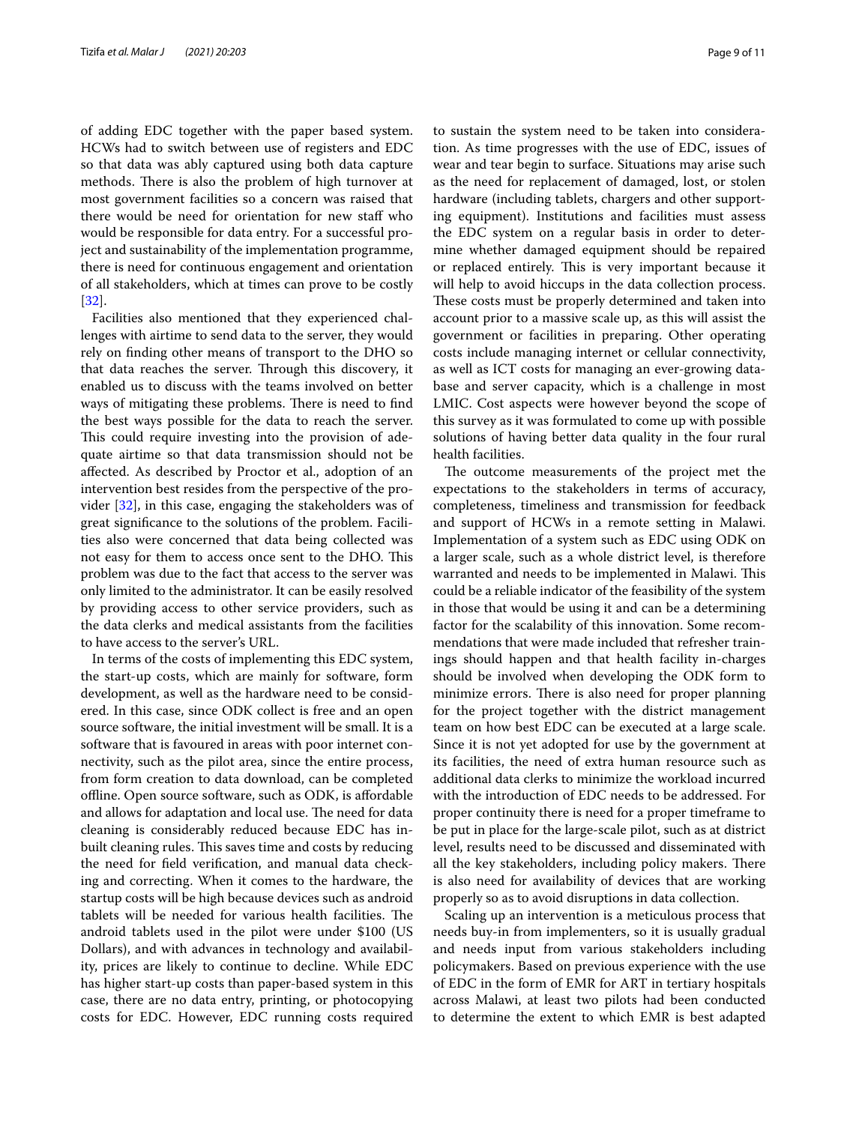of adding EDC together with the paper based system. HCWs had to switch between use of registers and EDC so that data was ably captured using both data capture methods. There is also the problem of high turnover at most government facilities so a concern was raised that there would be need for orientation for new staff who would be responsible for data entry. For a successful project and sustainability of the implementation programme, there is need for continuous engagement and orientation of all stakeholders, which at times can prove to be costly [[32\]](#page-10-27).

Facilities also mentioned that they experienced challenges with airtime to send data to the server, they would rely on fnding other means of transport to the DHO so that data reaches the server. Through this discovery, it enabled us to discuss with the teams involved on better ways of mitigating these problems. There is need to find the best ways possible for the data to reach the server. This could require investing into the provision of adequate airtime so that data transmission should not be afected. As described by Proctor et al., adoption of an intervention best resides from the perspective of the provider [[32\]](#page-10-27), in this case, engaging the stakeholders was of great signifcance to the solutions of the problem. Facilities also were concerned that data being collected was not easy for them to access once sent to the DHO. This problem was due to the fact that access to the server was only limited to the administrator. It can be easily resolved by providing access to other service providers, such as the data clerks and medical assistants from the facilities to have access to the server's URL.

In terms of the costs of implementing this EDC system, the start-up costs, which are mainly for software, form development, as well as the hardware need to be considered. In this case, since ODK collect is free and an open source software, the initial investment will be small. It is a software that is favoured in areas with poor internet connectivity, such as the pilot area, since the entire process, from form creation to data download, can be completed ofine. Open source software, such as ODK, is afordable and allows for adaptation and local use. The need for data cleaning is considerably reduced because EDC has inbuilt cleaning rules. This saves time and costs by reducing the need for feld verifcation, and manual data checking and correcting. When it comes to the hardware, the startup costs will be high because devices such as android tablets will be needed for various health facilities. The android tablets used in the pilot were under \$100 (US Dollars), and with advances in technology and availability, prices are likely to continue to decline. While EDC has higher start-up costs than paper-based system in this case, there are no data entry, printing, or photocopying costs for EDC. However, EDC running costs required to sustain the system need to be taken into consideration. As time progresses with the use of EDC, issues of wear and tear begin to surface. Situations may arise such as the need for replacement of damaged, lost, or stolen hardware (including tablets, chargers and other supporting equipment). Institutions and facilities must assess the EDC system on a regular basis in order to determine whether damaged equipment should be repaired or replaced entirely. This is very important because it will help to avoid hiccups in the data collection process. These costs must be properly determined and taken into account prior to a massive scale up, as this will assist the government or facilities in preparing. Other operating costs include managing internet or cellular connectivity, as well as ICT costs for managing an ever-growing database and server capacity, which is a challenge in most LMIC. Cost aspects were however beyond the scope of this survey as it was formulated to come up with possible solutions of having better data quality in the four rural health facilities.

The outcome measurements of the project met the expectations to the stakeholders in terms of accuracy, completeness, timeliness and transmission for feedback and support of HCWs in a remote setting in Malawi. Implementation of a system such as EDC using ODK on a larger scale, such as a whole district level, is therefore warranted and needs to be implemented in Malawi. This could be a reliable indicator of the feasibility of the system in those that would be using it and can be a determining factor for the scalability of this innovation. Some recommendations that were made included that refresher trainings should happen and that health facility in-charges should be involved when developing the ODK form to minimize errors. There is also need for proper planning for the project together with the district management team on how best EDC can be executed at a large scale. Since it is not yet adopted for use by the government at its facilities, the need of extra human resource such as additional data clerks to minimize the workload incurred with the introduction of EDC needs to be addressed. For proper continuity there is need for a proper timeframe to be put in place for the large-scale pilot, such as at district level, results need to be discussed and disseminated with all the key stakeholders, including policy makers. There is also need for availability of devices that are working properly so as to avoid disruptions in data collection.

Scaling up an intervention is a meticulous process that needs buy-in from implementers, so it is usually gradual and needs input from various stakeholders including policymakers. Based on previous experience with the use of EDC in the form of EMR for ART in tertiary hospitals across Malawi, at least two pilots had been conducted to determine the extent to which EMR is best adapted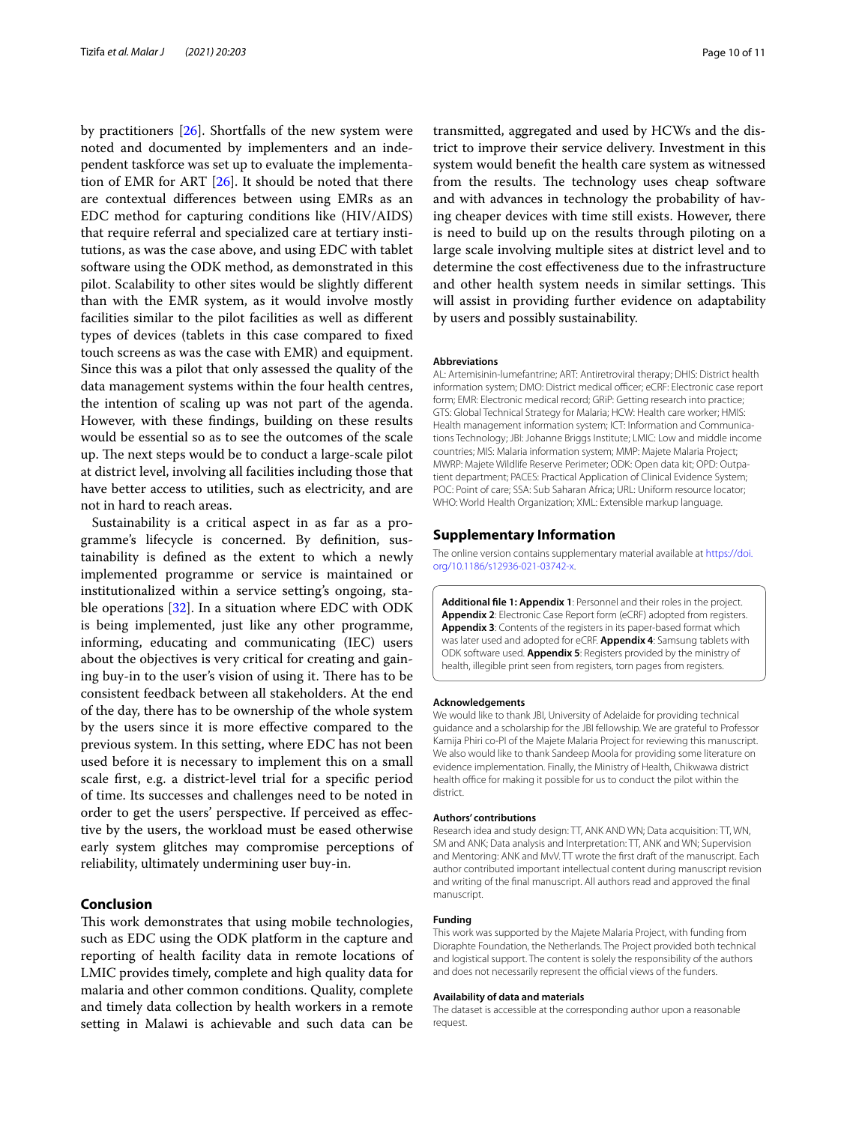by practitioners [[26\]](#page-10-23). Shortfalls of the new system were noted and documented by implementers and an independent taskforce was set up to evaluate the implementation of EMR for ART [\[26\]](#page-10-23). It should be noted that there are contextual diferences between using EMRs as an EDC method for capturing conditions like (HIV/AIDS) that require referral and specialized care at tertiary institutions, as was the case above, and using EDC with tablet software using the ODK method, as demonstrated in this pilot. Scalability to other sites would be slightly diferent than with the EMR system, as it would involve mostly facilities similar to the pilot facilities as well as diferent types of devices (tablets in this case compared to fxed touch screens as was the case with EMR) and equipment. Since this was a pilot that only assessed the quality of the data management systems within the four health centres, the intention of scaling up was not part of the agenda. However, with these fndings, building on these results would be essential so as to see the outcomes of the scale up. The next steps would be to conduct a large-scale pilot at district level, involving all facilities including those that have better access to utilities, such as electricity, and are not in hard to reach areas.

Sustainability is a critical aspect in as far as a programme's lifecycle is concerned. By defnition, sustainability is defned as the extent to which a newly implemented programme or service is maintained or institutionalized within a service setting's ongoing, stable operations [\[32](#page-10-27)]. In a situation where EDC with ODK is being implemented, just like any other programme, informing, educating and communicating (IEC) users about the objectives is very critical for creating and gaining buy-in to the user's vision of using it. There has to be consistent feedback between all stakeholders. At the end of the day, there has to be ownership of the whole system by the users since it is more efective compared to the previous system. In this setting, where EDC has not been used before it is necessary to implement this on a small scale frst, e.g. a district-level trial for a specifc period of time. Its successes and challenges need to be noted in order to get the users' perspective. If perceived as efective by the users, the workload must be eased otherwise early system glitches may compromise perceptions of reliability, ultimately undermining user buy-in.

# **Conclusion**

This work demonstrates that using mobile technologies, such as EDC using the ODK platform in the capture and reporting of health facility data in remote locations of LMIC provides timely, complete and high quality data for malaria and other common conditions. Quality, complete and timely data collection by health workers in a remote setting in Malawi is achievable and such data can be

transmitted, aggregated and used by HCWs and the district to improve their service delivery. Investment in this system would beneft the health care system as witnessed from the results. The technology uses cheap software and with advances in technology the probability of having cheaper devices with time still exists. However, there is need to build up on the results through piloting on a large scale involving multiple sites at district level and to determine the cost efectiveness due to the infrastructure and other health system needs in similar settings. This will assist in providing further evidence on adaptability by users and possibly sustainability.

#### **Abbreviations**

AL: Artemisinin-lumefantrine; ART: Antiretroviral therapy; DHIS: District health information system; DMO: District medical officer; eCRF: Electronic case report form; EMR: Electronic medical record; GRiP: Getting research into practice; GTS: Global Technical Strategy for Malaria; HCW: Health care worker; HMIS: Health management information system; ICT: Information and Communications Technology; JBI: Johanne Briggs Institute; LMIC: Low and middle income countries; MIS: Malaria information system; MMP: Majete Malaria Project; MWRP: Majete Wildlife Reserve Perimeter; ODK: Open data kit; OPD: Outpatient department; PACES: Practical Application of Clinical Evidence System; POC: Point of care; SSA: Sub Saharan Africa; URL: Uniform resource locator; WHO: World Health Organization; XML: Extensible markup language.

#### **Supplementary Information**

The online version contains supplementary material available at [https://doi.](https://doi.org/10.1186/s12936-021-03742-x) [org/10.1186/s12936-021-03742-x.](https://doi.org/10.1186/s12936-021-03742-x)

<span id="page-9-0"></span>**Additional fle 1: Appendix 1**: Personnel and their roles in the project. **Appendix 2**: Electronic Case Report form (eCRF) adopted from registers. **Appendix 3**: Contents of the registers in its paper-based format which was later used and adopted for eCRF. **Appendix 4**: Samsung tablets with ODK software used. **Appendix 5**: Registers provided by the ministry of health, illegible print seen from registers, torn pages from registers.

#### **Acknowledgements**

We would like to thank JBI, University of Adelaide for providing technical guidance and a scholarship for the JBI fellowship. We are grateful to Professor Kamija Phiri co-PI of the Majete Malaria Project for reviewing this manuscript. We also would like to thank Sandeep Moola for providing some literature on evidence implementation. Finally, the Ministry of Health, Chikwawa district health office for making it possible for us to conduct the pilot within the district.

#### **Authors' contributions**

Research idea and study design: TT, ANK AND WN; Data acquisition: TT, WN, SM and ANK; Data analysis and Interpretation: TT, ANK and WN; Supervision and Mentoring: ANK and MvV. TT wrote the frst draft of the manuscript. Each author contributed important intellectual content during manuscript revision and writing of the fnal manuscript. All authors read and approved the fnal manuscript.

#### **Funding**

This work was supported by the Majete Malaria Project, with funding from Dioraphte Foundation, the Netherlands. The Project provided both technical and logistical support. The content is solely the responsibility of the authors and does not necessarily represent the official views of the funders.

#### **Availability of data and materials**

The dataset is accessible at the corresponding author upon a reasonable request.